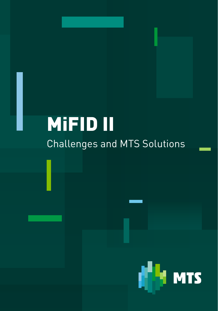# MiFID II Challenges and MTS Solutions

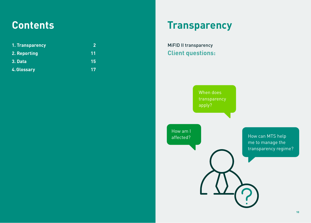# **Contents**

| 1. Transparency | 2  |
|-----------------|----|
| 2. Reporting    | 11 |
| 3. Data         | 15 |
| 4. Glossary     | 17 |

# **Transparency**

MiFID II transparency **Client questions:**

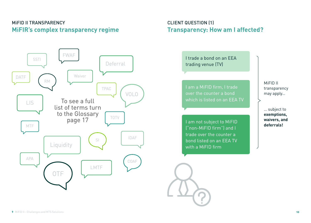## MiFID II TRANSPARENCY **MiFIR's complex transparency regime**

## CLIENT QUESTION (1) **Transparency: How am I affected?**

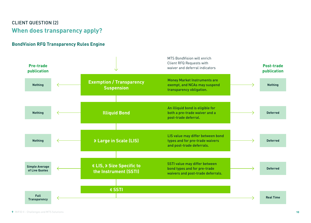## CLIENT QUESTION (2) **When does transparency apply?**

### **BondVision RFQ Transparency Rules Engine**

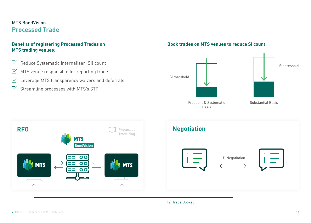### MTS BondVision **Processed Trade**

#### **Benefits of registering Processed Trades on MTS trading venues:**

- $\sqrt{2}$  Reduce Systematic Internaliser (SI) count
- $\triangledown$  MTS venue responsible for reporting trade
- $\triangledown$  Leverage MTS transparency waivers and deferrals
- $\triangledown$  Streamline processes with MTS's STP

#### **Book trades on MTS venues to reduce SI count**



Basis

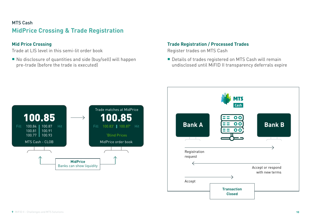## <span id="page-5-0"></span>MTS Cash **MidPrice Crossing & Trade Registration**

### **Mid Price Crossing**

Trade at LIS level in this semi-lit order book

■ No disclosure of quantities and side (buy/sell) will happen pre-trade (before the trade is executed)

#### **Trade Registration / Processed Trades**

Register trades on MTS Cash

■ Details of trades registered on MTS Cash will remain undisclosed until MiFID II transparency deferrals expire



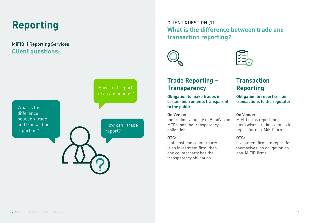# **Reporting**

## MiFID II Reporting Services **Client questions:**

CLIENT QUESTION (1) **What is the difference between trade and transaction reporting?**





**Trade Reporting – Transparency**

**Obligation to make trades in certain instruments transparent to the public**

#### **On Venue:**

the trading venue (e.g. BondVision MTFs) has the transparency obligation.

#### **OTC:**

if at least one counterparty is an investment firm, then one counterparty has the transparency obligation.

## **Transaction Reporting**

**Obligation to report certain transactions to the regulator**

#### **On Venue:**

MiFID firms report for themselves, trading venues to report for non-MiFID firms

#### **OTC:**

investment firms to report for themselves, no obligation on non-MiFID firms

What is the difference between trade and transaction reporting?

#### How can I report my transactions?

How can I trade report?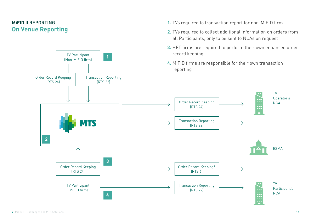## <span id="page-7-0"></span>**MiFID II** REPORTING **On Venue Reporting**



**1.** TVs required to transaction report for non-MiFID firm

**2.** TVs required to collect additional information on orders from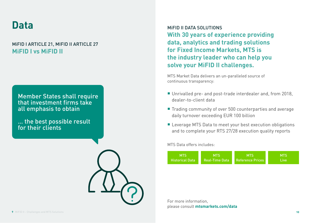# <span id="page-8-0"></span>**Data**

## MiFID I ARTICLE 21, MIFID II ARTICLE 27 **MiFID I vs MiFID II**

### Member States shall require that investment firms take all emphasis to obtain

… the best possible result for their clients



MiFID II DATA SOLUTIONS **With 30 years of experience providing data, analytics and trading solutions for Fixed Income Markets, MTS is the industry leader who can help you solve your MiFID II challenges.**

MTS Market Data delivers an un-paralleled source of continuous transparency:

- Unrivalled pre- and post-trade interdealer and, from 2018, dealer-to-client data
- Trading community of over 500 counterparties and average daily turnover exceeding EUR 100 billion
- **E** Leverage MTS Data to meet your best execution obligations and to complete your RTS 27/28 execution quality reports

MTS Data offers includes:



For more information, please consult **[mtsmarkets.com/data](http://mtsmarkets.com/data)**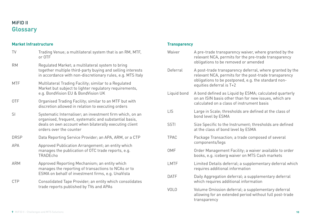## MiFID II **Glossary**

#### **Market Infrastructure**

| TV          | Trading Venue; a multilateral system that is an RM, MTF,<br>or OTF                                                                                                                                      |
|-------------|---------------------------------------------------------------------------------------------------------------------------------------------------------------------------------------------------------|
| <b>RM</b>   | Regulated Market; a multilateral system to bring<br>together multiple third-party buying and selling interests<br>in accordance with non-discretionary rules, e.g. MTS Italy                            |
| <b>MTF</b>  | Multilateral Trading Facility; similar to a Regulated<br>Market but subject to lighter regulatory requirements,<br>e.g. BondVision EU & BondVision UK                                                   |
| 0TF         | Organised Trading Facility; similar to an MTF but with<br>discretion allowed in relation to executing orders                                                                                            |
| SI.         | Systematic Internaliser; an investment firm which, on an<br>organised, frequent, systematic and substantial basis,<br>deals on own account when bilaterally executing client<br>orders over the counter |
| <b>DRSP</b> | Data Reporting Service Provider; an APA, ARM, or a CTP                                                                                                                                                  |
| <b>APA</b>  | Approved Publication Arrangement; an entity which<br>manages the publication of OTC trade reports, e.g.<br>TRADEcho                                                                                     |
| <b>ARM</b>  | Approved Reporting Mechanism; an entity which<br>manages the reporting of transactions to NCAs or to<br>ESMA on behalf of investment firms, e.g. UnaVista                                               |
| <b>CTP</b>  | Consolidated Tape Provider; an entity which consolidates<br>trade reports published by TVs and APAs                                                                                                     |

#### **Transparency**

| Waiver      | A pre-trade transparency waiver, where granted by the<br>relevant NCA, permits for the pre-trade transparency<br>obligations to be removed or amended                                                |
|-------------|------------------------------------------------------------------------------------------------------------------------------------------------------------------------------------------------------|
| Deferral    | A post-trade transparency deferral, where granted by the<br>relevant NCA, permits for the post-trade transparency<br>obligations to be postponed, e.g. the standard non-<br>equities deferral is T+2 |
| Liquid bond | A bond defined as Liquid by ESMA; calculated quarterly<br>on an ISIN basis other than for new issues, which are<br>calculated on a class of instrument basis                                         |
| LIS         | Large in Scale; thresholds are defined at the class of<br>bond level by ESMA                                                                                                                         |
| <b>SSTI</b> | Size Specific to the Instrument; thresholds are defined<br>at the class of bond level by ESMA                                                                                                        |
| <b>TPAC</b> | Package Transaction; a trade composed of several<br>components/legs                                                                                                                                  |
| <b>OMF</b>  | Order Management Facility; a waiver available to order<br>books, e.g. iceberg waiver on MTS Cash markets                                                                                             |
| LMTF        | Limited Details deferral; a supplementary deferral which<br>requires additional information                                                                                                          |
| <b>DATF</b> | Daily Aggregation deferral; a supplementary deferral<br>which requires additional information                                                                                                        |
| <b>VOLO</b> | Volume Omission deferral; a supplementary deferral<br>allowing for an extended period without full post-trade<br>transparency                                                                        |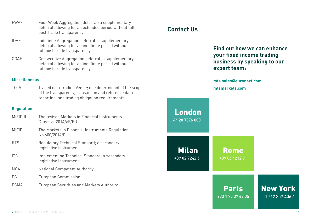- FWAF Four Week Aggregation deferral; a supplementary deferral allowing for an extended period without full post-trade transparency
- IDAF Indefinite Aggregation deferral; a supplementary deferral allowing for an indefinite period without full post-trade transparency
- COAF Consecutive Aggregation deferral; a supplementary deferral allowing for an indefinite period without full post-trade transparency

#### **Miscellaneous**

TOTV Traded on a Trading Venue; one determinant of the scope of the transparency, transaction and reference data reporting, and trading obligation requirements

#### **Regulation**

| MiFID II     | The revised Markets in Financial Instruments<br>Directive 2014/65/EU   |
|--------------|------------------------------------------------------------------------|
| <b>MiFIR</b> | The Markets in Financial Instruments Regulation<br>No 600/2014/EU      |
| <b>RTS</b>   | Regulatory Technical Standard; a secondary<br>legislative instrument   |
| <b>ITS</b>   | Implementing Technical Standard; a secondary<br>legislative instrument |
| <b>NCA</b>   | <b>National Competent Authority</b>                                    |
| EC           | European Commission                                                    |
| ESMA         | <b>European Securities and Markets Authority</b>                       |

# **Contact Us**

**Find out how we can enhance your fixed income trading business by speaking to our expert team:**

**mts.[sales@euronext.com](mailto:sales.group%40mtsmarkets.com%20?subject=) [mtsmarkets.com](http://mtsmarkets.com)**